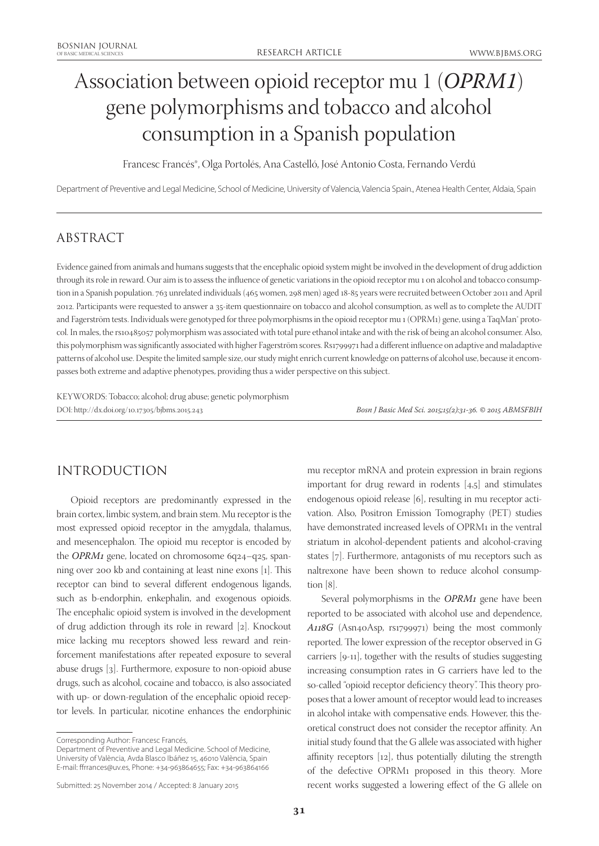# Association between opioid receptor mu 1 (*OPRM1*) gene polymorphisms and tobacco and alcohol consumption in a Spanish population

Francesc Francés\*, Olga Portolés, Ana Castelló, José Antonio Costa, Fernando Verdú

Department of Preventive and Legal Medicine, School of Medicine, University of Valencia, Valencia Spain., Atenea Health Center, Aldaia, Spain

## ABSTRACT

Evidence gained from animals and humans suggests that the encephalic opioid system might be involved in the development of drug addiction through its role in reward. Our aim is to assess the influence of genetic variations in the opioid receptor mu 1 on alcohol and tobacco consumption in a Spanish population. 763 unrelated individuals (465 women, 298 men) aged 18-85 years were recruited between October 2011 and April 2012. Participants were requested to answer a 35-item questionnaire on tobacco and alcohol consumption, as well as to complete the AUDIT and Fagerström tests. Individuals were genotyped for three polymorphisms in the opioid receptor mu 1 (OPRM1) gene, using a TaqMan® protocol. In males, the rs10485057 polymorphism was associated with total pure ethanol intake and with the risk of being an alcohol consumer. Also, this polymorphism was significantly associated with higher Fagerström scores. Rs1799971 had a different influence on adaptive and maladaptive patterns of alcohol use. Despite the limited sample size, our study might enrich current knowledge on patterns of alcohol use, because it encompasses both extreme and adaptive phenotypes, providing thus a wider perspective on this subject.

KEYWORDS: Tobacco; alcohol; drug abuse; genetic polymorphism DOI: http://dx.doi.org/10.17305/bjbms.2015.243 *Bosn J Basic Med Sci. 2015;15(2):31-36. © 2015 ABMSFBIH*

# INTRODUCTION

Opioid receptors are predominantly expressed in the brain cortex, limbic system, and brain stem. Mu receptor is the most expressed opioid receptor in the amygdala, thalamus, and mesencephalon. The opioid mu receptor is encoded by the *OPRM1* gene, located on chromosome 6q24–q25, spanning over 200 kb and containing at least nine exons [1]. This receptor can bind to several different endogenous ligands, such as b-endorphin, enkephalin, and exogenous opioids. The encephalic opioid system is involved in the development of drug addiction through its role in reward [2]. Knockout mice lacking mu receptors showed less reward and reinforcement manifestations after repeated exposure to several abuse drugs [3]. Furthermore, exposure to non-opioid abuse drugs, such as alcohol, cocaine and tobacco, is also associated with up- or down-regulation of the encephalic opioid receptor levels. In particular, nicotine enhances the endorphinic

Corresponding Author: Francesc Francés,

Department of Preventive and Legal Medicine. School of Medicine, University of València, Avda Blasco Ibáñez 15, 46010 València, Spain E-mail: ffrrances@uv.es, Phone: +34-963864655; Fax: +34-963864166

mu receptor mRNA and protein expression in brain regions important for drug reward in rodents [4,5] and stimulates endogenous opioid release [6], resulting in mu receptor activation. Also, Positron Emission Tomography (PET) studies have demonstrated increased levels of OPRM1 in the ventral striatum in alcohol-dependent patients and alcohol-craving states [7]. Furthermore, antagonists of mu receptors such as naltrexone have been shown to reduce alcohol consumption [8].

Several polymorphisms in the *OPRM1* gene have been reported to be associated with alcohol use and dependence, *A118G* (Asn40Asp, rs1799971) being the most commonly reported. The lower expression of the receptor observed in G carriers [9-11], together with the results of studies suggesting increasing consumption rates in G carriers have led to the so-called "opioid receptor deficiency theory". This theory proposes that a lower amount of receptor would lead to increases in alcohol intake with compensative ends. However, this theoretical construct does not consider the receptor affinity. An initial study found that the G allele was associated with higher affinity receptors [12], thus potentially diluting the strength of the defective OPRM1 proposed in this theory. More recent works suggested a lowering effect of the G allele on

Submitted: 25 November 2014 / Accepted: 8 January 2015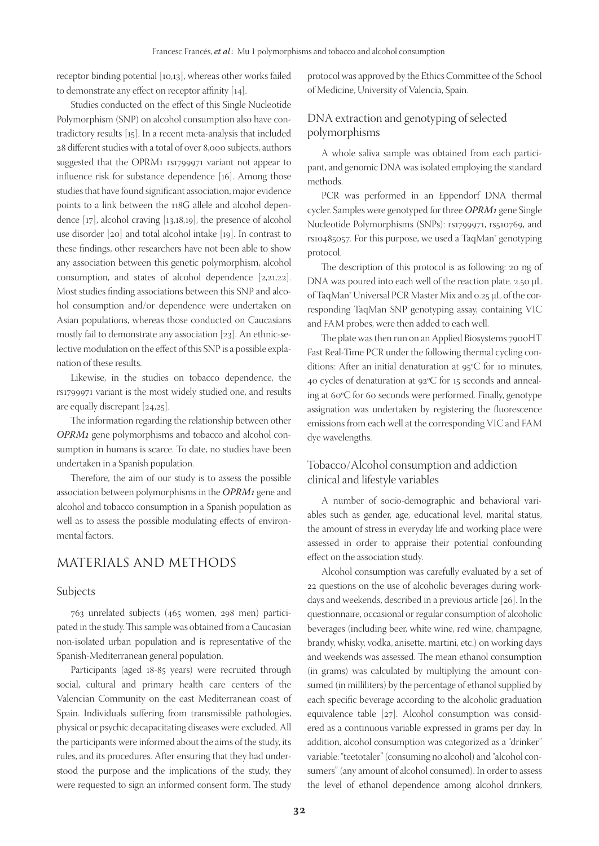receptor binding potential [10,13], whereas other works failed to demonstrate any effect on receptor affinity [14].

Studies conducted on the effect of this Single Nucleotide Polymorphism (SNP) on alcohol consumption also have contradictory results [15]. In a recent meta-analysis that included 28 different studies with a total of over 8,000 subjects, authors suggested that the OPRM1 rs1799971 variant not appear to influence risk for substance dependence [16]. Among those studies that have found significant association, major evidence points to a link between the 118G allele and alcohol dependence [17], alcohol craving [13,18,19], the presence of alcohol use disorder [20] and total alcohol intake [19]. In contrast to these findings, other researchers have not been able to show any association between this genetic polymorphism, alcohol consumption, and states of alcohol dependence [2,21,22]. Most studies finding associations between this SNP and alcohol consumption and/or dependence were undertaken on Asian populations, whereas those conducted on Caucasians mostly fail to demonstrate any association [23]. An ethnic-selective modulation on the effect of this SNP is a possible explanation of these results.

Likewise, in the studies on tobacco dependence, the rs1799971 variant is the most widely studied one, and results are equally discrepant [24,25].

The information regarding the relationship between other *OPRM1* gene polymorphisms and tobacco and alcohol consumption in humans is scarce. To date, no studies have been undertaken in a Spanish population.

Therefore, the aim of our study is to assess the possible association between polymorphisms in the *OPRM1* gene and alcohol and tobacco consumption in a Spanish population as well as to assess the possible modulating effects of environmental factors.

## MATERIALS AND METHODS

#### Subjects

763 unrelated subjects (465 women, 298 men) participated in the study. This sample was obtained from a Caucasian non-isolated urban population and is representative of the Spanish-Mediterranean general population.

Participants (aged 18-85 years) were recruited through social, cultural and primary health care centers of the Valencian Community on the east Mediterranean coast of Spain. Individuals suffering from transmissible pathologies, physical or psychic decapacitating diseases were excluded. All the participants were informed about the aims of the study, its rules, and its procedures. After ensuring that they had understood the purpose and the implications of the study, they were requested to sign an informed consent form. The study

protocol was approved by the Ethics Committee of the School of Medicine, University of Valencia, Spain.

## DNA extraction and genotyping of selected polymorphisms

A whole saliva sample was obtained from each participant, and genomic DNA was isolated employing the standard methods.

PCR was performed in an Eppendorf DNA thermal cycler. Samples were genotyped for three *OPRM1* gene Single Nucleotide Polymorphisms (SNPs): rs1799971, rs510769, and rs10485057. For this purpose, we used a TaqMan® genotyping protocol.

The description of this protocol is as following: 20 ng of DNA was poured into each well of the reaction plate. 2.50 µL of TaqMan<sup>®</sup> Universal PCR Master Mix and 0.25 µL of the corresponding TaqMan SNP genotyping assay, containing VIC and FAM probes, were then added to each well.

The plate was then run on an Applied Biosystems 7900HT Fast Real-Time PCR under the following thermal cycling conditions: After an initial denaturation at 95ºC for 10 minutes, 40 cycles of denaturation at 92ºC for 15 seconds and annealing at 60ºC for 60 seconds were performed. Finally, genotype assignation was undertaken by registering the fluorescence emissions from each well at the corresponding VIC and FAM dye wavelengths.

## Tobacco/Alcohol consumption and addiction clinical and lifestyle variables

A number of socio-demographic and behavioral variables such as gender, age, educational level, marital status, the amount of stress in everyday life and working place were assessed in order to appraise their potential confounding effect on the association study.

Alcohol consumption was carefully evaluated by a set of 22 questions on the use of alcoholic beverages during workdays and weekends, described in a previous article [26]. In the questionnaire, occasional or regular consumption of alcoholic beverages (including beer, white wine, red wine, champagne, brandy, whisky, vodka, anisette, martini, etc.) on working days and weekends was assessed. The mean ethanol consumption (in grams) was calculated by multiplying the amount consumed (in milliliters) by the percentage of ethanol supplied by each specific beverage according to the alcoholic graduation equivalence table [27]. Alcohol consumption was considered as a continuous variable expressed in grams per day. In addition, alcohol consumption was categorized as a "drinker" variable: "teetotaler" (consuming no alcohol) and "alcohol consumers" (any amount of alcohol consumed). In order to assess the level of ethanol dependence among alcohol drinkers,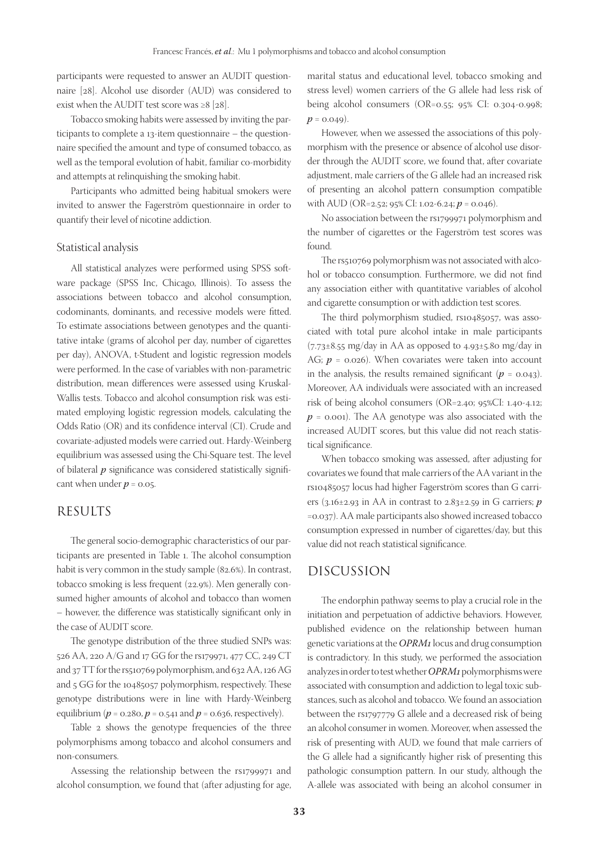participants were requested to answer an AUDIT questionnaire [28]. Alcohol use disorder (AUD) was considered to exist when the AUDIT test score was  $\geq 8$  [28].

Tobacco smoking habits were assessed by inviting the participants to complete a 13-item questionnaire – the questionnaire specified the amount and type of consumed tobacco, as well as the temporal evolution of habit, familiar co-morbidity and attempts at relinquishing the smoking habit.

Participants who admitted being habitual smokers were invited to answer the Fagerström questionnaire in order to quantify their level of nicotine addiction.

#### Statistical analysis

All statistical analyzes were performed using SPSS software package (SPSS Inc, Chicago, Illinois). To assess the associations between tobacco and alcohol consumption, codominants, dominants, and recessive models were fitted. To estimate associations between genotypes and the quantitative intake (grams of alcohol per day, number of cigarettes per day), ANOVA, t-Student and logistic regression models were performed. In the case of variables with non-parametric distribution, mean differences were assessed using Kruskal-Wallis tests. Tobacco and alcohol consumption risk was estimated employing logistic regression models, calculating the Odds Ratio (OR) and its confidence interval (CI). Crude and covariate-adjusted models were carried out. Hardy-Weinberg equilibrium was assessed using the Chi-Square test. The level of bilateral *p* significance was considered statistically significant when under  $p = 0.05$ .

## RESULTS

The general socio-demographic characteristics of our participants are presented in Table 1. The alcohol consumption habit is very common in the study sample (82.6%). In contrast, tobacco smoking is less frequent (22.9%). Men generally consumed higher amounts of alcohol and tobacco than women – however, the difference was statistically significant only in the case of AUDIT score.

The genotype distribution of the three studied SNPs was: 526 AA, 220 A/G and 17 GG for the rs179971, 477 CC, 249 CT and 37 TT for the rs510769 polymorphism, and 632 AA, 126 AG and 5 GG for the 10485057 polymorphism, respectively. These genotype distributions were in line with Hardy-Weinberg equilibrium ( $p = 0.280$ ,  $p = 0.541$  and  $p = 0.636$ , respectively).

Table 2 shows the genotype frequencies of the three polymorphisms among tobacco and alcohol consumers and non-consumers.

Assessing the relationship between the rs1799971 and alcohol consumption, we found that (after adjusting for age, marital status and educational level, tobacco smoking and stress level) women carriers of the G allele had less risk of being alcohol consumers (OR=0.55; 95% CI: 0.304-0.998;  $p = 0.049$ .

However, when we assessed the associations of this polymorphism with the presence or absence of alcohol use disorder through the AUDIT score, we found that, after covariate adjustment, male carriers of the G allele had an increased risk of presenting an alcohol pattern consumption compatible with AUD (OR=2.52; 95% CI: 1.02-6.24; *p* = 0.046).

No association between the rs1799971 polymorphism and the number of cigarettes or the Fagerström test scores was found.

The rs510769 polymorphism was not associated with alcohol or tobacco consumption. Furthermore, we did not find any association either with quantitative variables of alcohol and cigarette consumption or with addiction test scores.

The third polymorphism studied, rs10485057, was associated with total pure alcohol intake in male participants (7.73±8.55 mg/day in AA as opposed to 4.93±5.80 mg/day in AG;  $p = 0.026$ ). When covariates were taken into account in the analysis, the results remained significant  $(p = 0.043)$ . Moreover, AA individuals were associated with an increased risk of being alcohol consumers (OR=2.40; 95%CI: 1.40-4.12;  $p = 0.001$ . The AA genotype was also associated with the increased AUDIT scores, but this value did not reach statistical significance.

When tobacco smoking was assessed, after adjusting for covariates we found that male carriers of the AA variant in the rs10485057 locus had higher Fagerström scores than G carriers (3.16±2.93 in AA in contrast to 2.83±2.59 in G carriers; *p* =0.037). AA male participants also showed increased tobacco consumption expressed in number of cigarettes/day, but this value did not reach statistical significance.

## DISCUSSION

The endorphin pathway seems to play a crucial role in the initiation and perpetuation of addictive behaviors. However, published evidence on the relationship between human genetic variations at the *OPRM1* locus and drug consumption is contradictory. In this study, we performed the association analyzes in order to test whether *OPRM1* polymorphisms were associated with consumption and addiction to legal toxic substances, such as alcohol and tobacco. We found an association between the rs1797779 G allele and a decreased risk of being an alcohol consumer in women. Moreover, when assessed the risk of presenting with AUD, we found that male carriers of the G allele had a significantly higher risk of presenting this pathologic consumption pattern. In our study, although the A-allele was associated with being an alcohol consumer in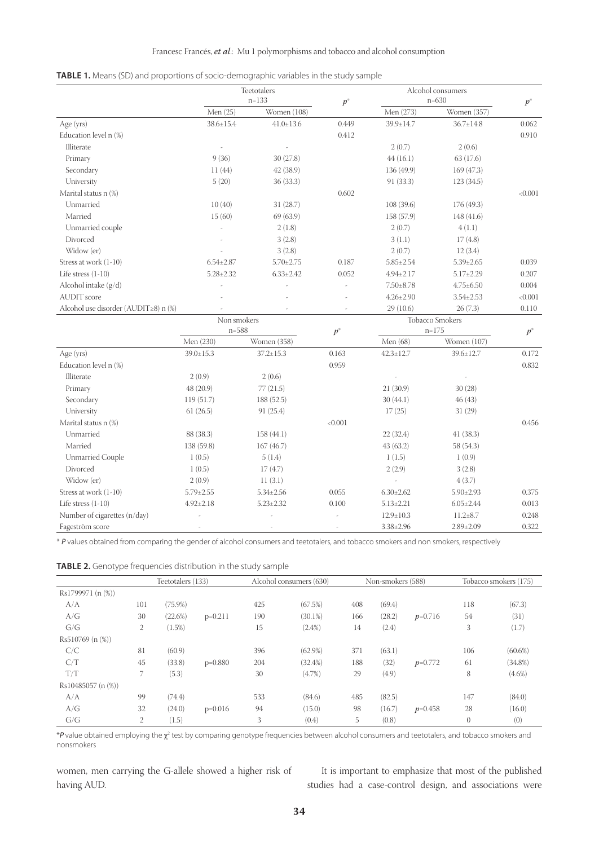|  | <b>TABLE 1.</b> Means (SD) and proportions of socio-demographic variables in the study sample |  |
|--|-----------------------------------------------------------------------------------------------|--|
|  |                                                                                               |  |

|                                      | Teetotalers<br>$n = 133$ |                 | $p^*$   |                        | Alcohol consumers<br>$n=630$ |         |
|--------------------------------------|--------------------------|-----------------|---------|------------------------|------------------------------|---------|
|                                      | Men (25)                 | Women (108)     |         | Men (273)              | Women (357)                  | $p^*$   |
| Age (yrs)                            | $38.6 \pm 15.4$          | $41.0 \pm 13.6$ | 0.449   | 39.9±14.7              | $36.7 \pm 14.8$              | 0.062   |
| Education level n (%)                |                          |                 | 0.412   |                        |                              | 0.910   |
| Illiterate                           |                          |                 |         | 2(0.7)                 | 2(0.6)                       |         |
| Primary                              | 9(36)                    | 30(27.8)        |         | 44(16.1)               | 63(17.6)                     |         |
| Secondary                            | 11(44)                   | 42 (38.9)       |         | 136 (49.9)             | 169 (47.3)                   |         |
| University                           | 5(20)                    | 36(33.3)        |         | 91 (33.3)              | 123(34.5)                    |         |
| Marital status n (%)                 |                          |                 | 0.602   |                        |                              | < 0.001 |
| Unmarried                            | 10(40)                   | 31(28.7)        |         | 108 (39.6)             | 176 (49.3)                   |         |
| Married                              | 15(60)                   | 69 (63.9)       |         | 158 (57.9)             | 148(41.6)                    |         |
| Unmarried couple                     |                          | 2(1.8)          |         | 2(0.7)                 | 4(1.1)                       |         |
| Divorced                             |                          | 3(2.8)          |         | 3(1.1)                 | 17(4.8)                      |         |
| Widow (er)                           |                          | 3(2.8)          |         | 2(0.7)                 | 12(3.4)                      |         |
| Stress at work (1-10)                | $6.54 \pm 2.87$          | $5.70 \pm 2.75$ | 0.187   | $5.85 \pm 2.54$        | $5.39 \pm 2.65$              | 0.039   |
| Life stress $(1-10)$                 | $5.28 \pm 2.32$          | $6.33 \pm 2.42$ | 0.052   | $4.94 \pm 2.17$        | $5.17 \pm 2.29$              | 0.207   |
| Alcohol intake (g/d)                 |                          |                 |         | $7.50 \pm 8.78$        | $4.75 \pm 6.50$              | 0.004   |
| <b>AUDIT</b> score                   |                          |                 |         | $4.26 \pm 2.90$        | $3.54 \pm 2.53$              | < 0.001 |
| Alcohol use disorder (AUDIT≥8) n (%) |                          |                 |         | 29(10.6)               | 26(7.3)                      | 0.110   |
|                                      | Non smokers              |                 |         | <b>Tobacco Smokers</b> |                              |         |
|                                      | $n = 588$                |                 | $p^*$   | $n = 175$              |                              | $p^*$   |
|                                      | Men (230)                | Women (358)     |         | Men (68)               | Women (107)                  |         |
| Age (yrs)                            | $39.0 \pm 15.3$          | $37.2 \pm 15.3$ | 0.163   | $42.3 \pm 12.7$        | $39.6 \pm 12.7$              | 0.172   |
| Education level n (%)                |                          |                 | 0.959   |                        |                              | 0.832   |
| Illiterate                           | 2(0.9)                   | 2(0.6)          |         |                        |                              |         |
| Primary                              | 48 (20.9)                | 77(21.5)        |         | 21(30.9)               | 30(28)                       |         |
| Secondary                            | 119(51.7)                | 188 (52.5)      |         | 30(44.1)               | 46(43)                       |         |
| University                           | 61(26.5)                 | 91 (25.4)       |         | 17(25)                 | 31(29)                       |         |
| Marital status n (%)                 |                          |                 | < 0.001 |                        |                              | 0.456   |
| Unmarried                            | 88 (38.3)                | 158 (44.1)      |         | 22(32.4)               | 41 (38.3)                    |         |
| Married                              | 138 (59.8)               | 167(46.7)       |         | 43(63.2)               | 58 (54.3)                    |         |
| Unmarried Couple                     | 1(0.5)                   | 5(1.4)          |         | 1(1.5)                 | 1(0.9)                       |         |
| Divorced                             | 1(0.5)                   | 17(4.7)         |         | 2(2.9)                 | 3(2.8)                       |         |
| Widow (er)                           | 2(0.9)                   | 11(3.1)         |         |                        | 4(3.7)                       |         |
| Stress at work (1-10)                | $5.79 \pm 2.55$          | $5.34 \pm 2.56$ | 0.055   | $6.30 \pm 2.62$        | $5.90 \pm 2.93$              | 0.375   |
| Life stress $(1-10)$                 | $4.92 \pm 2.18$          | $5.23 \pm 2.32$ | 0.100   | $5.13 \pm 2.21$        | $6.05 \pm 2.44$              | 0.013   |
| Number of cigarettes (n/day)         |                          |                 |         | $12.9 \pm 10.3$        | $11.2 \pm 8.7$               | 0.248   |
| Fageström score                      |                          | L.              |         | $3.38 \pm 2.96$        | $2.89 \pm 2.09$              | 0.322   |

\* *P* values obtained from comparing the gender of alcohol consumers and teetotalers, and tobacco smokers and non smokers, respectively

|  | <b>TABLE 2.</b> Genotype frequencies distribution in the study sample |  |  |
|--|-----------------------------------------------------------------------|--|--|
|  |                                                                       |  |  |

|                     | Teetotalers (133) |            | Alcohol consumers (630) |     |            | Non-smokers (588) |        |           | Tobacco smokers (175) |            |
|---------------------|-------------------|------------|-------------------------|-----|------------|-------------------|--------|-----------|-----------------------|------------|
| Rs1799971 (n (%))   |                   |            |                         |     |            |                   |        |           |                       |            |
| A/A                 | 101               | $(75.9\%)$ |                         | 425 | (67.5%)    | 408               | (69.4) |           | 118                   | (67.3)     |
| A/G                 | 30                | (22.6%)    | $p=0.211$               | 190 | $(30.1\%)$ | 166               | (28.2) | $p=0.716$ | 54                    | (31)       |
| G/G                 | 2                 | $(1.5\%)$  |                         | 15  | $(2.4\%)$  | 14                | (2.4)  |           | 3                     | (1.7)      |
| $Rs510769 (n (\%))$ |                   |            |                         |     |            |                   |        |           |                       |            |
| C/C                 | 81                | (60.9)     |                         | 396 | $(62.9\%)$ | 371               | (63.1) |           | 106                   | $(60.6\%)$ |
| C/T                 | 45                | (33.8)     | $p=0.880$               | 204 | $(32.4\%)$ | 188               | (32)   | $p=0.772$ | 61                    | $(34.8\%)$ |
| T/T                 |                   | (5.3)      |                         | 30  | $(4.7\%)$  | 29                | (4.9)  |           | 8                     | $(4.6\%)$  |
| Rs10485057 (n (%))  |                   |            |                         |     |            |                   |        |           |                       |            |
| A/A                 | 99                | (74.4)     |                         | 533 | (84.6)     | 485               | (82.5) |           | 147                   | (84.0)     |
| A/G                 | 32                | (24.0)     | $p=0.016$               | 94  | (15.0)     | 98                | (16.7) | $p=0.458$ | 28                    | (16.0)     |
| G/G                 | 2                 | (1.5)      |                         | 3   | (0.4)      | 5                 | (0.8)  |           | $\theta$              | (0)        |

 $^*$ P value obtained employing the  $\chi^2$  test by comparing genotype frequencies between alcohol consumers and teetotalers, and tobacco smokers and nonsmokers

women, men carrying the G-allele showed a higher risk of having AUD.

It is important to emphasize that most of the published studies had a case-control design, and associations were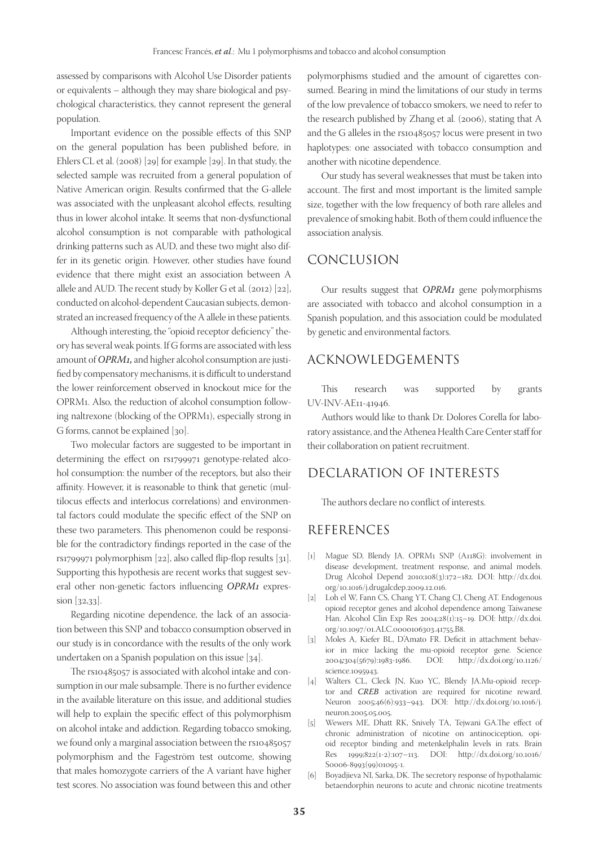assessed by comparisons with Alcohol Use Disorder patients or equivalents – although they may share biological and psychological characteristics, they cannot represent the general population.

Important evidence on the possible effects of this SNP on the general population has been published before, in Ehlers CL et al. (2008) [29] for example [29]. In that study, the selected sample was recruited from a general population of Native American origin. Results confirmed that the G-allele was associated with the unpleasant alcohol effects, resulting thus in lower alcohol intake. It seems that non-dysfunctional alcohol consumption is not comparable with pathological drinking patterns such as AUD, and these two might also differ in its genetic origin. However, other studies have found evidence that there might exist an association between A allele and AUD. The recent study by Koller G et al. (2012) [22], conducted on alcohol-dependent Caucasian subjects, demonstrated an increased frequency of the A allele in these patients.

Although interesting, the "opioid receptor deficiency" theory has several weak points. If G forms are associated with less amount of *OPRM1,* and higher alcohol consumption are justified by compensatory mechanisms, it is difficult to understand the lower reinforcement observed in knockout mice for the OPRM1. Also, the reduction of alcohol consumption following naltrexone (blocking of the OPRM1), especially strong in G forms, cannot be explained [30].

Two molecular factors are suggested to be important in determining the effect on rs1799971 genotype-related alcohol consumption: the number of the receptors, but also their affinity. However, it is reasonable to think that genetic (multilocus effects and interlocus correlations) and environmental factors could modulate the specific effect of the SNP on these two parameters. This phenomenon could be responsible for the contradictory findings reported in the case of the rs1799971 polymorphism [22], also called flip-flop results [31]. Supporting this hypothesis are recent works that suggest several other non-genetic factors influencing *OPRM1* expression [32,33].

Regarding nicotine dependence, the lack of an association between this SNP and tobacco consumption observed in our study is in concordance with the results of the only work undertaken on a Spanish population on this issue [34].

The rs10485057 is associated with alcohol intake and consumption in our male subsample. There is no further evidence in the available literature on this issue, and additional studies will help to explain the specific effect of this polymorphism on alcohol intake and addiction. Regarding tobacco smoking, we found only a marginal association between the rs10485057 polymorphism and the Fageström test outcome, showing that males homozygote carriers of the A variant have higher test scores. No association was found between this and other

polymorphisms studied and the amount of cigarettes consumed. Bearing in mind the limitations of our study in terms of the low prevalence of tobacco smokers, we need to refer to the research published by Zhang et al. (2006), stating that A and the G alleles in the rs10485057 locus were present in two haplotypes: one associated with tobacco consumption and another with nicotine dependence.

Our study has several weaknesses that must be taken into account. The first and most important is the limited sample size, together with the low frequency of both rare alleles and prevalence of smoking habit. Both of them could influence the association analysis.

## CONCLUSION

Our results suggest that *OPRM1* gene polymorphisms are associated with tobacco and alcohol consumption in a Spanish population, and this association could be modulated by genetic and environmental factors.

## ACKNOWLEDGEMENTS

This research was supported by grants UV-INV-AE11-41946.

Authors would like to thank Dr. Dolores Corella for laboratory assistance, and the Athenea Health Care Center staff for their collaboration on patient recruitment.

## DECLARATION OF INTERESTS

The authors declare no conflict of interests.

### REFERENCES

- [1] Mague SD, Blendy JA. OPRM1 SNP (A118G): involvement in disease development, treatment response, and animal models. Drug Alcohol Depend 2010;108(3):172–182. DOI: http://dx.doi. org/10.1016/j.drugalcdep.2009.12.016.
- [2] Loh el W, Fann CS, Chang YT, Chang CJ, Cheng AT. Endogenous opioid receptor genes and alcohol dependence among Taiwanese Han. Alcohol Clin Exp Res 2004;28(1):15–19. DOI: http://dx.doi. org/10.1097/01.ALC.0000106303.41755.B8.
- [3] Moles A, Kiefer BL, D'Amato FR. Deficit in attachment behavior in mice lacking the mu-opioid receptor gene. Science 2004*;*304(5679):1983-1986. DOI: http://dx.doi.org/10.1126/ science.1095943.
- [4] Walters CL, Cleck JN, Kuo YC, Blendy JA.Mu-opioid receptor and *CREB* activation are required for nicotine reward. Neuron 2005;46(6):933–943. DOI: http://dx.doi.org/10.1016/j. neuron.2005.05.005.
- [5] Wewers ME, Dhatt RK, Snively TA, Tejwani GA.The effect of chronic administration of nicotine on antinociception, opioid receptor binding and metenkelphalin levels in rats. Brain Res 1999;822(1-2):107–113. DOI: http://dx.doi.org/10.1016/ S0006-8993(99)01095-1.
- [6] Boyadjieva NI, Sarka, DK. The secretory response of hypothalamic betaendorphin neurons to acute and chronic nicotine treatments